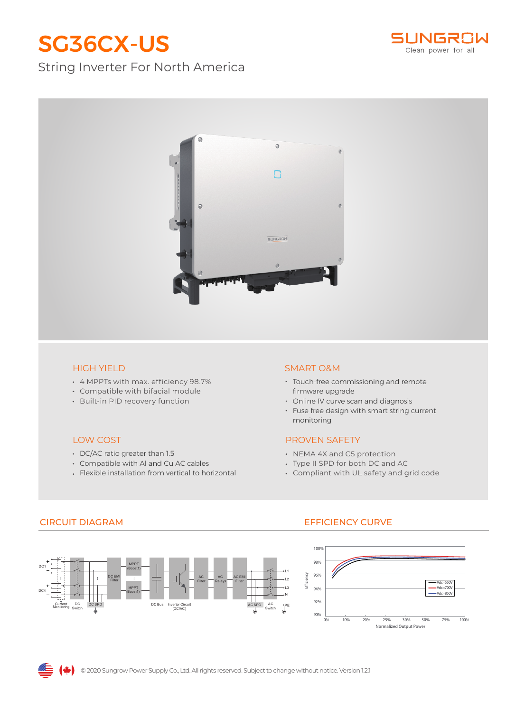# SG36CX-US

## String Inverter For North America





- 4 MPPTs with max. efficiency 98.7%
- Compatible with bifacial module
- Built-in PID recovery function

### LOW COST

- DC/AC ratio greater than 1.5
- Compatible with Al and Cu AC cables
- Flexible installation from vertical to horizontal

#### HIGH YIELD SMART O&M

- Touch-free commissioning and remote firmware upgrade
- Online IV curve scan and diagnosis
- Fuse free design with smart string current monitoring

### PROVEN SAFETY

- NEMA 4X and C5 protection
- Type II SPD for both DC and AC
- Compliant with UL safety and grid code

#### DC Switch AC Switch DC1 DC4 ( L1 PE L2 L3 Current Current DC DC SPD DC Bus Inverter Circuit AC SPD AC SPD AC SPD DC Bus Inverter Circuit AC SPD AC SPD 人 AC Filter AC Relays **DC EN** Filter MPPT Boost4) MPPT (Boost1) AC EMI Filter N

## CIRCUIT DIAGRAM EFFICIENCY CURVE